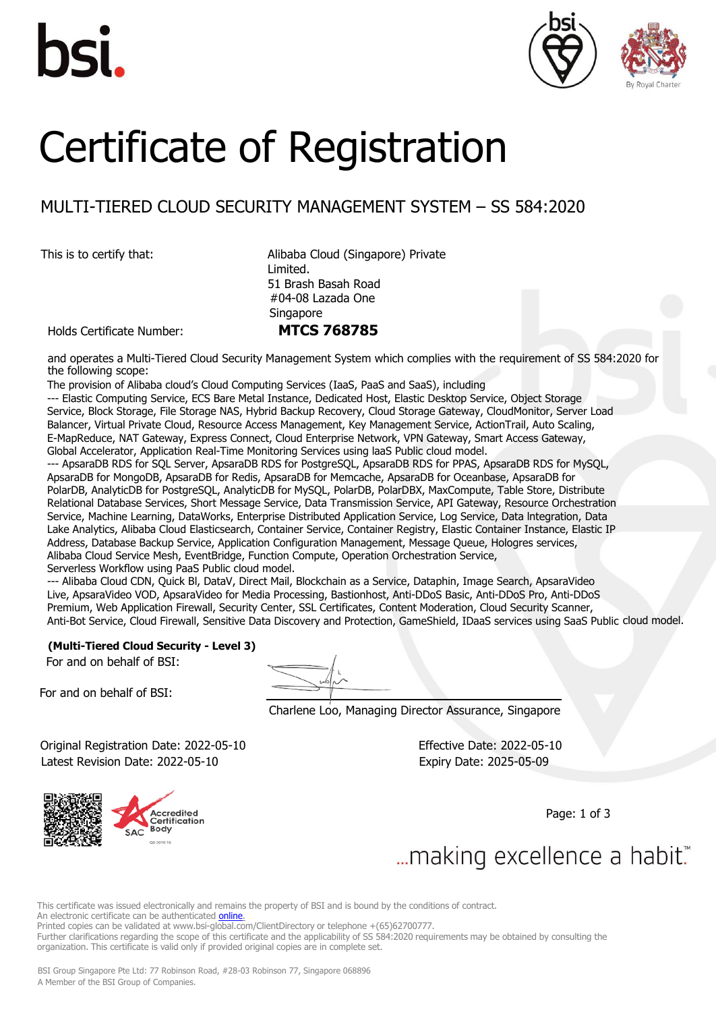





# Certificate of Registration

# MULTI-TIERED CLOUD SECURITY MANAGEMENT SYSTEM – SS 584:2020

This is to certify that: <br>
Alibaba Cloud (Singapore) Private Limited. 51 Brash Basah Road #04-08 Lazada One **Singapore** 

Holds Certificate Number: **MTCS 768785**

and operates a Multi-Tiered Cloud Security Management System which complies with the requirement of SS 584:2020 for the following scope:

The provision of Alibaba cloud's Cloud Computing Services (IaaS, PaaS and SaaS), including

--- Elastic Computing Service, ECS Bare Metal Instance, Dedicated Host, Elastic Desktop Service, Object Storage Service, Block Storage, File Storage NAS, Hybrid Backup Recovery, Cloud Storage Gateway, CloudMonitor, Server Load Balancer, Virtual Private Cloud, Resource Access Management, Key Management Service, ActionTrail, Auto Scaling, E-MapReduce, NAT Gateway, Express Connect, Cloud Enterprise Network, VPN Gateway, Smart Access Gateway, Global Accelerator, Application Real-Time Monitoring Services using laaS Public cloud model.

--- ApsaraDB RDS for SQL Server, ApsaraDB RDS for PostgreSQL, ApsaraDB RDS for PPAS, ApsaraDB RDS for MySQL, ApsaraDB for MongoDB, ApsaraDB for Redis, ApsaraDB for Memcache, ApsaraDB for Oceanbase, ApsaraDB for PolarDB, AnalyticDB for PostgreSQL, AnalyticDB for MySQL, PolarDB, PolarDBX, MaxCompute, Table Store, Distribute Relational Database Services, Short Message Service, Data Transmission Service, API Gateway, Resource Orchestration Service, Machine Learning, DataWorks, Enterprise Distributed Application Service, Log Service, Data lntegration, Data Lake Analytics, Alibaba Cloud Elasticsearch, Container Service, Container Registry, Elastic Container Instance, Elastic IP Address, Database Backup Service, Application Configuration Management, Message Queue, Hologres services, Alibaba Cloud Service Mesh, EventBridge, Function Compute, Operation Orchestration Service, Serverless Workflow using PaaS Public cloud model.

--- Alibaba Cloud CDN, Quick Bl, DataV, Direct Mail, Blockchain as a Service, Dataphin, Image Search, ApsaraVideo Live, ApsaraVideo VOD, ApsaraVideo for Media Processing, Bastionhost, Anti-DDoS Basic, Anti-DDoS Pro, Anti-DDoS Premium, Web Application Firewall, Security Center, SSL Certificates, Content Moderation, Cloud Security Scanner, Anti-Bot Service, Cloud Firewall, Sensitive Data Discovery and Protection, GameShield, IDaaS services using SaaS Public cloud model.

## **(Multi-Tiered Cloud Security - Level 3)**

For and on behalf of BSI:

For and on behalf of BSI:

Charlene Loo, Managing Director Assurance, Singapore

 Original Registration Date: 2022-05-10 Effective Date: 2022-05-10 Latest Revision Date: 2022-05-10 Expiry Date: 2025-05-09



Page: 1 of 3

... making excellence a habit."

This certificate was issued electronically and remains the property of BSI and is bound by the conditions of contract. An electronic certificate can be authenticated *online*.

Printed copies can be validated [at www.bsi-global.com/ClientDirectory](http://www.bsi-global.com/ClientDirectory) or telephone +(65)62700777.

Further clarifications regarding the scope of this certificate and the applicability of SS 584:2020 requirements may be obtained by consulting the organization. This certificate is valid only if provided original copies are in complete set.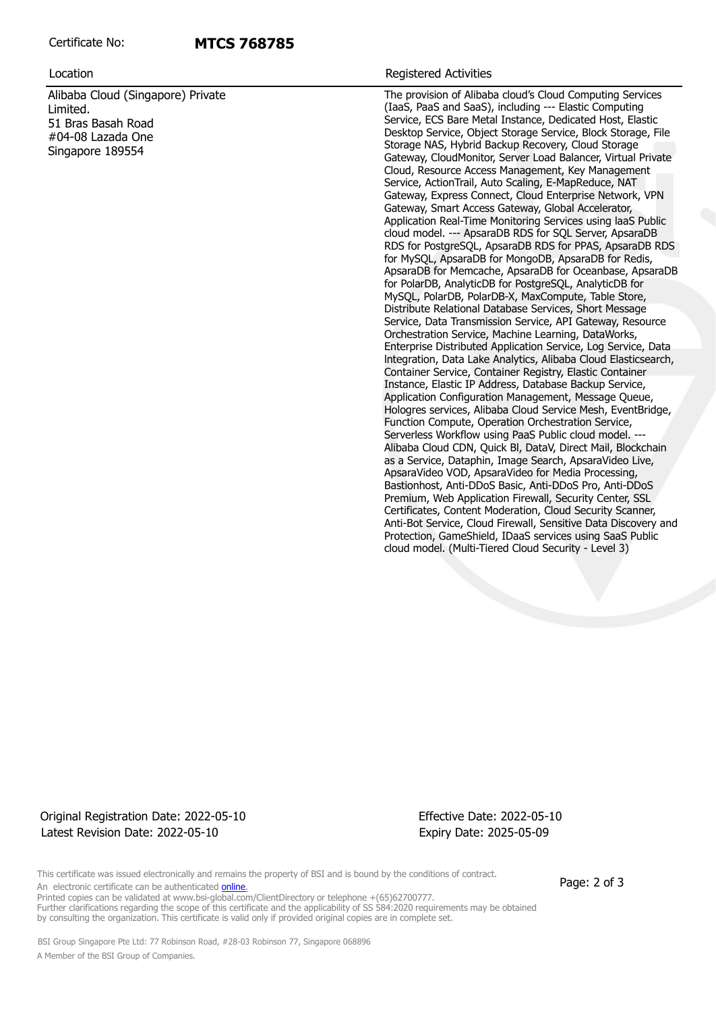# **MTCS 768785**

Alibaba Cloud (Singapore) Private Limited. 51 Bras Basah Road #04-08 Lazada One Singapore 189554

### Location **Registered Activities**

The provision of Alibaba cloud's Cloud Computing Services (IaaS, PaaS and SaaS), including --- Elastic Computing Service, ECS Bare Metal Instance, Dedicated Host, Elastic Desktop Service, Object Storage Service, Block Storage, File Storage NAS, Hybrid Backup Recovery, Cloud Storage Gateway, CloudMonitor, Server Load Balancer, Virtual Private Cloud, Resource Access Management, Key Management Service, ActionTrail, Auto Scaling, E-MapReduce, NAT Gateway, Express Connect, Cloud Enterprise Network, VPN Gateway, Smart Access Gateway, Global Accelerator, Application Real-Time Monitoring Services using laaS Public cloud model. --- ApsaraDB RDS for SQL Server, ApsaraDB RDS for PostgreSQL, ApsaraDB RDS for PPAS, ApsaraDB RDS for MySQL, ApsaraDB for MongoDB, ApsaraDB for Redis, ApsaraDB for Memcache, ApsaraDB for Oceanbase, ApsaraDB for PolarDB, AnalyticDB for PostgreSQL, AnalyticDB for MySQL, PolarDB, PolarDB-X, MaxCompute, Table Store, Distribute Relational Database Services, Short Message Service, Data Transmission Service, API Gateway, Resource Orchestration Service, Machine Learning, DataWorks, Enterprise Distributed Application Service, Log Service, Data lntegration, Data Lake Analytics, Alibaba Cloud Elasticsearch, Container Service, Container Registry, Elastic Container Instance, Elastic IP Address, Database Backup Service, Application Configuration Management, Message Queue, Hologres services, Alibaba Cloud Service Mesh, EventBridge, Function Compute, Operation Orchestration Service, Serverless Workflow using PaaS Public cloud model. --- Alibaba Cloud CDN, Quick Bl, DataV, Direct Mail, Blockchain as a Service, Dataphin, Image Search, ApsaraVideo Live, ApsaraVideo VOD, ApsaraVideo for Media Processing, Bastionhost, Anti-DDoS Basic, Anti-DDoS Pro, Anti-DDoS Premium, Web Application Firewall, Security Center, SSL Certificates, Content Moderation, Cloud Security Scanner, Anti-Bot Service, Cloud Firewall, Sensitive Data Discovery and Protection, GameShield, IDaaS services using SaaS Public cloud model. (Multi-Tiered Cloud Security - Level 3)

# Original Registration Date: 2022-05-10 Effective Date: 2022-05-10 Latest Revision Date: 2022-05-10 Expiry Date: 2025-05-09

This certificate was issued electronically and remains the property of BSI and is bound by the conditions of contract. An electronic certificate can be authenticated **online**.

Page: 2 of 3

Printed copies can be validated at [www.bsi-global.com/ClientDirectory](http://www.bsi-global.com/ClientDirectory) or telephone +(65)62700777. Further clarifications regarding the scope of this certificate and the applicability of SS 584:2020 requirements may be obtained by consulting the organization. This certificate is valid only if provided original copies are in complete set.

 BSI Group Singapore Pte Ltd: 77 Robinson Road, #28-03 Robinson 77, Singapore 068896 A Member of the BSI Group of Companies.